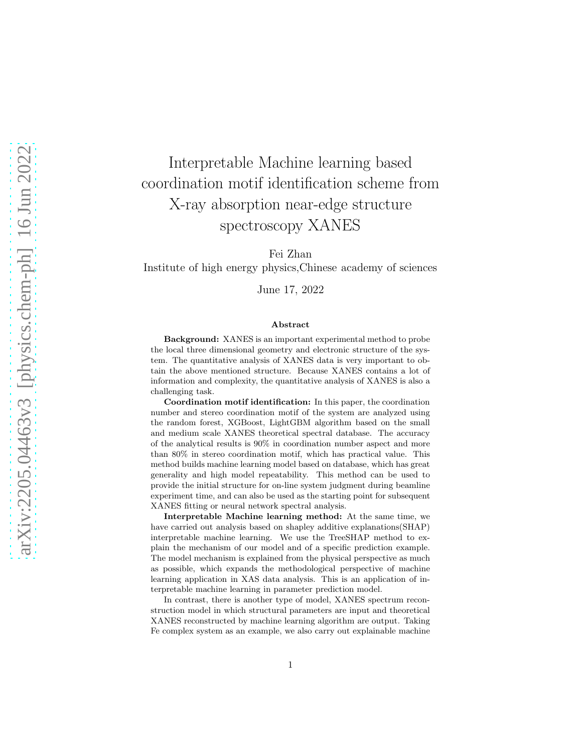# Interpretable Machine learning based coordination motif identification scheme from X-ray absorption near-edge structure spectroscopy XANES

Fei Zhan

Institute of high energy physics,Chinese academy of sciences

June 17, 2022

#### Abstract

Background: XANES is an important experimental method to probe the local three dimensional geometry and electronic structure of the system. The quantitative analysis of XANES data is very important to obtain the above mentioned structure. Because XANES contains a lot of information and complexity, the quantitative analysis of XANES is also a challenging task.

Coordination motif identification: In this paper, the coordination number and stereo coordination motif of the system are analyzed using the random forest, XGBoost, LightGBM algorithm based on the small and medium scale XANES theoretical spectral database. The accuracy of the analytical results is 90% in coordination number aspect and more than 80% in stereo coordination motif, which has practical value. This method builds machine learning model based on database, which has great generality and high model repeatability. This method can be used to provide the initial structure for on-line system judgment during beamline experiment time, and can also be used as the starting point for subsequent XANES fitting or neural network spectral analysis.

Interpretable Machine learning method: At the same time, we have carried out analysis based on shapley additive explanations(SHAP) interpretable machine learning. We use the TreeSHAP method to explain the mechanism of our model and of a specific prediction example. The model mechanism is explained from the physical perspective as much as possible, which expands the methodological perspective of machine learning application in XAS data analysis. This is an application of interpretable machine learning in parameter prediction model.

In contrast, there is another type of model, XANES spectrum reconstruction model in which structural parameters are input and theoretical XANES reconstructed by machine learning algorithm are output. Taking Fe complex system as an example, we also carry out explainable machine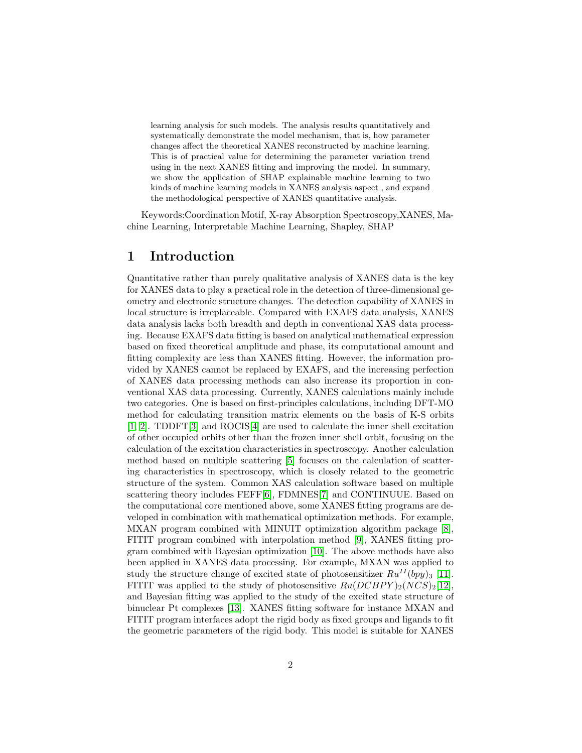learning analysis for such models. The analysis results quantitatively and systematically demonstrate the model mechanism, that is, how parameter changes affect the theoretical XANES reconstructed by machine learning. This is of practical value for determining the parameter variation trend using in the next XANES fitting and improving the model. In summary, we show the application of SHAP explainable machine learning to two kinds of machine learning models in XANES analysis aspect , and expand the methodological perspective of XANES quantitative analysis.

Keywords:Coordination Motif, X-ray Absorption Spectroscopy,XANES, Machine Learning, Interpretable Machine Learning, Shapley, SHAP

#### 1 Introduction

Quantitative rather than purely qualitative analysis of XANES data is the key for XANES data to play a practical role in the detection of three-dimensional geometry and electronic structure changes. The detection capability of XANES in local structure is irreplaceable. Compared with EXAFS data analysis, XANES data analysis lacks both breadth and depth in conventional XAS data processing. Because EXAFS data fitting is based on analytical mathematical expression based on fixed theoretical amplitude and phase, its computational amount and fitting complexity are less than XANES fitting. However, the information provided by XANES cannot be replaced by EXAFS, and the increasing perfection of XANES data processing methods can also increase its proportion in conventional XAS data processing. Currently, XANES calculations mainly include two categories. One is based on first-principles calculations, including DFT-MO method for calculating transition matrix elements on the basis of K-S orbits [\[1,](#page-15-0) [2\]](#page-15-1). TDDFT[\[3\]](#page-15-2) and ROCIS[\[4\]](#page-15-3) are used to calculate the inner shell excitation of other occupied orbits other than the frozen inner shell orbit, focusing on the calculation of the excitation characteristics in spectroscopy. Another calculation method based on multiple scattering [\[5\]](#page-15-4) focuses on the calculation of scattering characteristics in spectroscopy, which is closely related to the geometric structure of the system. Common XAS calculation software based on multiple scattering theory includes FEFF[\[6\]](#page-15-5), FDMNES[\[7\]](#page-15-6) and CONTINUUE. Based on the computational core mentioned above, some XANES fitting programs are developed in combination with mathematical optimization methods. For example, MXAN program combined with MINUIT optimization algorithm package [\[8\]](#page-15-7), FITIT program combined with interpolation method [\[9\]](#page-15-8), XANES fitting program combined with Bayesian optimization [\[10\]](#page-16-0). The above methods have also been applied in XANES data processing. For example, MXAN was applied to study the structure change of excited state of photosensitizer  $Ru^{II}(bpy)_3$  [\[11\]](#page-16-1). FITIT was applied to the study of photosensitive  $Ru(DCBPY)_2(NCS)_2[12]$  $Ru(DCBPY)_2(NCS)_2[12]$ , and Bayesian fitting was applied to the study of the excited state structure of binuclear Pt complexes [\[13\]](#page-16-3). XANES fitting software for instance MXAN and FITIT program interfaces adopt the rigid body as fixed groups and ligands to fit the geometric parameters of the rigid body. This model is suitable for XANES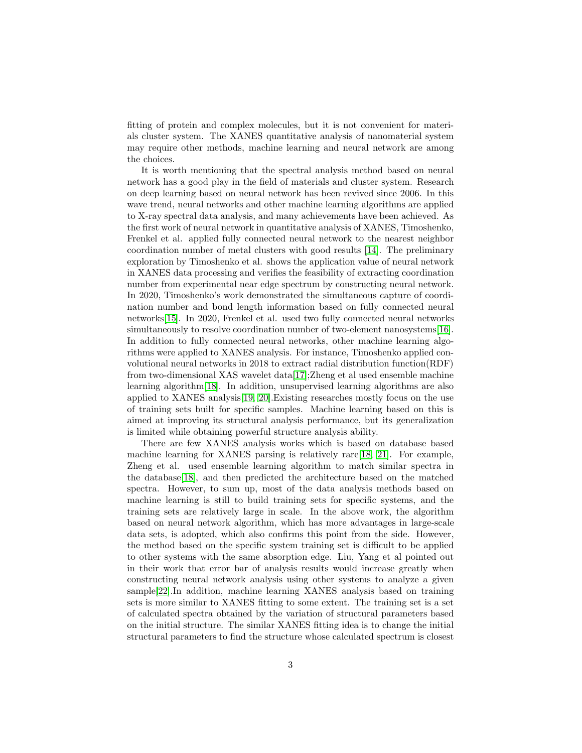fitting of protein and complex molecules, but it is not convenient for materials cluster system. The XANES quantitative analysis of nanomaterial system may require other methods, machine learning and neural network are among the choices.

It is worth mentioning that the spectral analysis method based on neural network has a good play in the field of materials and cluster system. Research on deep learning based on neural network has been revived since 2006. In this wave trend, neural networks and other machine learning algorithms are applied to X-ray spectral data analysis, and many achievements have been achieved. As the first work of neural network in quantitative analysis of XANES, Timoshenko, Frenkel et al. applied fully connected neural network to the nearest neighbor coordination number of metal clusters with good results [\[14\]](#page-16-4). The preliminary exploration by Timoshenko et al. shows the application value of neural network in XANES data processing and verifies the feasibility of extracting coordination number from experimental near edge spectrum by constructing neural network. In 2020, Timoshenko's work demonstrated the simultaneous capture of coordination number and bond length information based on fully connected neural networks[\[15\]](#page-16-5). In 2020, Frenkel et al. used two fully connected neural networks simultaneously to resolve coordination number of two-element nanosystems [\[16\]](#page-16-6). In addition to fully connected neural networks, other machine learning algorithms were applied to XANES analysis. For instance, Timoshenko applied convolutional neural networks in 2018 to extract radial distribution function(RDF) from two-dimensional XAS wavelet data[\[17\]](#page-16-7);Zheng et al used ensemble machine learning algorithm[\[18\]](#page-16-8). In addition, unsupervised learning algorithms are also applied to XANES analysis[\[19,](#page-16-9) [20\]](#page-16-10).Existing researches mostly focus on the use of training sets built for specific samples. Machine learning based on this is aimed at improving its structural analysis performance, but its generalization is limited while obtaining powerful structure analysis ability.

There are few XANES analysis works which is based on database based machine learning for XANES parsing is relatively rare[\[18,](#page-16-8) [21\]](#page-17-0). For example, Zheng et al. used ensemble learning algorithm to match similar spectra in the database[\[18\]](#page-16-8), and then predicted the architecture based on the matched spectra. However, to sum up, most of the data analysis methods based on machine learning is still to build training sets for specific systems, and the training sets are relatively large in scale. In the above work, the algorithm based on neural network algorithm, which has more advantages in large-scale data sets, is adopted, which also confirms this point from the side. However, the method based on the specific system training set is difficult to be applied to other systems with the same absorption edge. Liu, Yang et al pointed out in their work that error bar of analysis results would increase greatly when constructing neural network analysis using other systems to analyze a given sample[\[22\]](#page-17-1).In addition, machine learning XANES analysis based on training sets is more similar to XANES fitting to some extent. The training set is a set of calculated spectra obtained by the variation of structural parameters based on the initial structure. The similar XANES fitting idea is to change the initial structural parameters to find the structure whose calculated spectrum is closest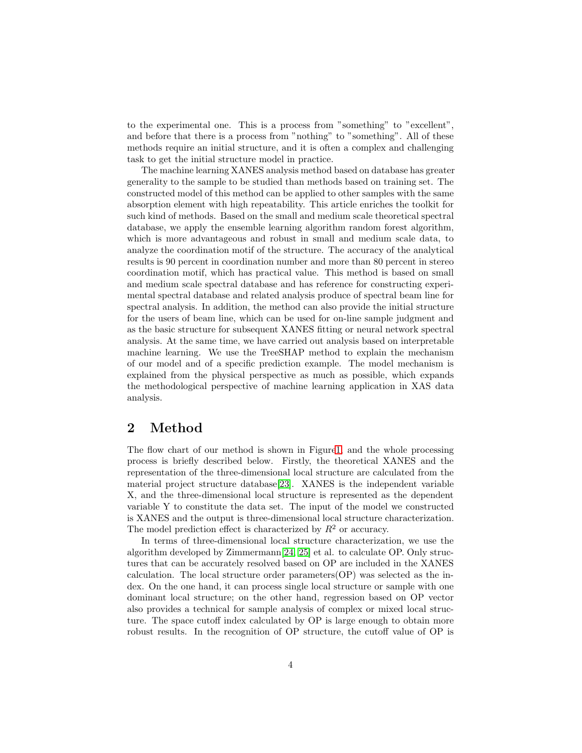to the experimental one. This is a process from "something" to "excellent", and before that there is a process from "nothing" to "something". All of these methods require an initial structure, and it is often a complex and challenging task to get the initial structure model in practice.

The machine learning XANES analysis method based on database has greater generality to the sample to be studied than methods based on training set. The constructed model of this method can be applied to other samples with the same absorption element with high repeatability. This article enriches the toolkit for such kind of methods. Based on the small and medium scale theoretical spectral database, we apply the ensemble learning algorithm random forest algorithm, which is more advantageous and robust in small and medium scale data, to analyze the coordination motif of the structure. The accuracy of the analytical results is 90 percent in coordination number and more than 80 percent in stereo coordination motif, which has practical value. This method is based on small and medium scale spectral database and has reference for constructing experimental spectral database and related analysis produce of spectral beam line for spectral analysis. In addition, the method can also provide the initial structure for the users of beam line, which can be used for on-line sample judgment and as the basic structure for subsequent XANES fitting or neural network spectral analysis. At the same time, we have carried out analysis based on interpretable machine learning. We use the TreeSHAP method to explain the mechanism of our model and of a specific prediction example. The model mechanism is explained from the physical perspective as much as possible, which expands the methodological perspective of machine learning application in XAS data analysis.

#### 2 Method

The flow chart of our method is shown in Figur[e1,](#page-4-0) and the whole processing process is briefly described below. Firstly, the theoretical XANES and the representation of the three-dimensional local structure are calculated from the material project structure database[\[23\]](#page-17-2). XANES is the independent variable X, and the three-dimensional local structure is represented as the dependent variable Y to constitute the data set. The input of the model we constructed is XANES and the output is three-dimensional local structure characterization. The model prediction effect is characterized by  $R^2$  or accuracy.

In terms of three-dimensional local structure characterization, we use the algorithm developed by  $\text{Zimmermann}[24, 25]$  $\text{Zimmermann}[24, 25]$  $\text{Zimmermann}[24, 25]$  et al. to calculate OP. Only structures that can be accurately resolved based on OP are included in the XANES calculation. The local structure order parameters(OP) was selected as the index. On the one hand, it can process single local structure or sample with one dominant local structure; on the other hand, regression based on OP vector also provides a technical for sample analysis of complex or mixed local structure. The space cutoff index calculated by OP is large enough to obtain more robust results. In the recognition of OP structure, the cutoff value of OP is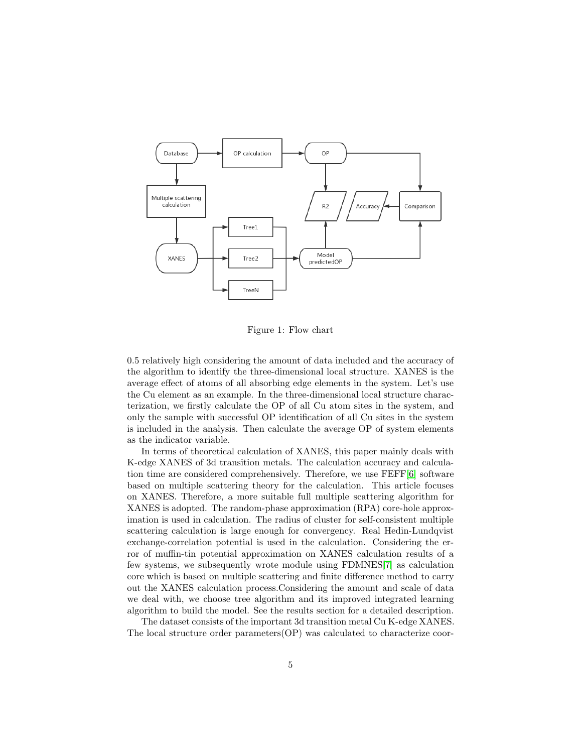

<span id="page-4-0"></span>Figure 1: Flow chart

0.5 relatively high considering the amount of data included and the accuracy of the algorithm to identify the three-dimensional local structure. XANES is the average effect of atoms of all absorbing edge elements in the system. Let's use the Cu element as an example. In the three-dimensional local structure characterization, we firstly calculate the OP of all Cu atom sites in the system, and only the sample with successful OP identification of all Cu sites in the system is included in the analysis. Then calculate the average OP of system elements as the indicator variable.

In terms of theoretical calculation of XANES, this paper mainly deals with K-edge XANES of 3d transition metals. The calculation accuracy and calculation time are considered comprehensively. Therefore, we use FEFF[\[6\]](#page-15-5) software based on multiple scattering theory for the calculation. This article focuses on XANES. Therefore, a more suitable full multiple scattering algorithm for XANES is adopted. The random-phase approximation (RPA) core-hole approximation is used in calculation. The radius of cluster for self-consistent multiple scattering calculation is large enough for convergency. Real Hedin-Lundqvist exchange-correlation potential is used in the calculation. Considering the error of muffin-tin potential approximation on XANES calculation results of a few systems, we subsequently wrote module using FDMNES[\[7\]](#page-15-6) as calculation core which is based on multiple scattering and finite difference method to carry out the XANES calculation process.Considering the amount and scale of data we deal with, we choose tree algorithm and its improved integrated learning algorithm to build the model. See the results section for a detailed description.

The dataset consists of the important 3d transition metal Cu K-edge XANES. The local structure order parameters(OP) was calculated to characterize coor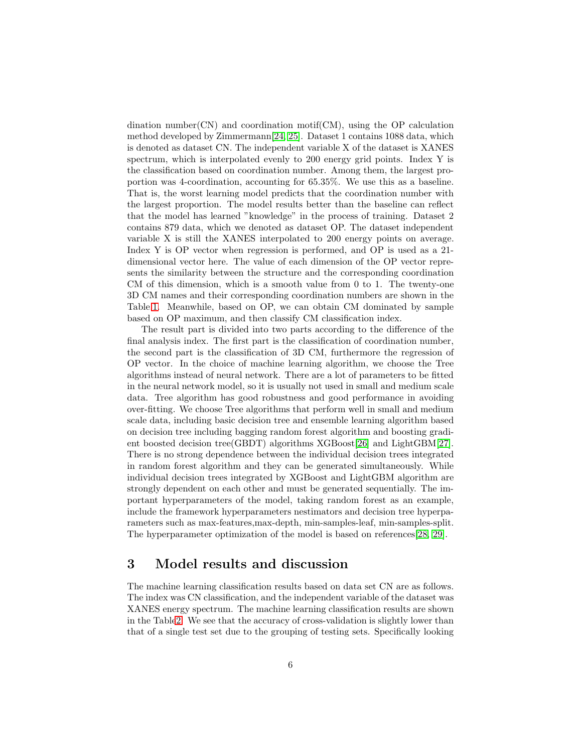dination number(CN) and coordination motif(CM), using the OP calculation method developed by Zimmermann[\[24,](#page-17-3) [25\]](#page-17-4). Dataset 1 contains 1088 data, which is denoted as dataset CN. The independent variable X of the dataset is XANES spectrum, which is interpolated evenly to 200 energy grid points. Index Y is the classification based on coordination number. Among them, the largest proportion was 4-coordination, accounting for 65.35%. We use this as a baseline. That is, the worst learning model predicts that the coordination number with the largest proportion. The model results better than the baseline can reflect that the model has learned "knowledge" in the process of training. Dataset 2 contains 879 data, which we denoted as dataset OP. The dataset independent variable X is still the XANES interpolated to 200 energy points on average. Index Y is OP vector when regression is performed, and OP is used as a 21 dimensional vector here. The value of each dimension of the OP vector represents the similarity between the structure and the corresponding coordination CM of this dimension, which is a smooth value from 0 to 1. The twenty-one 3D CM names and their corresponding coordination numbers are shown in the Table[.1.](#page-7-0) Meanwhile, based on OP, we can obtain CM dominated by sample based on OP maximum, and then classify CM classification index.

The result part is divided into two parts according to the difference of the final analysis index. The first part is the classification of coordination number, the second part is the classification of 3D CM, furthermore the regression of OP vector. In the choice of machine learning algorithm, we choose the Tree algorithms instead of neural network. There are a lot of parameters to be fitted in the neural network model, so it is usually not used in small and medium scale data. Tree algorithm has good robustness and good performance in avoiding over-fitting. We choose Tree algorithms that perform well in small and medium scale data, including basic decision tree and ensemble learning algorithm based on decision tree including bagging random forest algorithm and boosting gradient boosted decision tree(GBDT) algorithms XGBoost[\[26\]](#page-17-5) and LightGBM[\[27\]](#page-17-6). There is no strong dependence between the individual decision trees integrated in random forest algorithm and they can be generated simultaneously. While individual decision trees integrated by XGBoost and LightGBM algorithm are strongly dependent on each other and must be generated sequentially. The important hyperparameters of the model, taking random forest as an example, include the framework hyperparameters nestimators and decision tree hyperparameters such as max-features,max-depth, min-samples-leaf, min-samples-split. The hyperparameter optimization of the model is based on references[\[28,](#page-17-7) [29\]](#page-17-8).

#### 3 Model results and discussion

The machine learning classification results based on data set CN are as follows. The index was CN classification, and the independent variable of the dataset was XANES energy spectrum. The machine learning classification results are shown in the Tabl[e2.](#page-8-0) We see that the accuracy of cross-validation is slightly lower than that of a single test set due to the grouping of testing sets. Specifically looking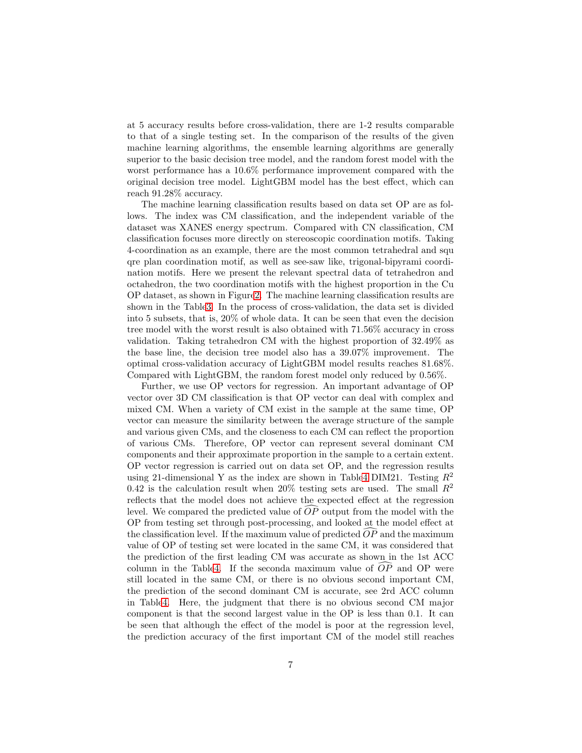at 5 accuracy results before cross-validation, there are 1-2 results comparable to that of a single testing set. In the comparison of the results of the given machine learning algorithms, the ensemble learning algorithms are generally superior to the basic decision tree model, and the random forest model with the worst performance has a 10.6% performance improvement compared with the original decision tree model. LightGBM model has the best effect, which can reach 91.28% accuracy.

The machine learning classification results based on data set OP are as follows. The index was CM classification, and the independent variable of the dataset was XANES energy spectrum. Compared with CN classification, CM classification focuses more directly on stereoscopic coordination motifs. Taking 4-coordination as an example, there are the most common tetrahedral and squ qre plan coordination motif, as well as see-saw like, trigonal-bipyrami coordination motifs. Here we present the relevant spectral data of tetrahedron and octahedron, the two coordination motifs with the highest proportion in the Cu OP dataset, as shown in Figur[e2.](#page-8-1) The machine learning classification results are shown in the Tabl[e3.](#page-8-2) In the process of cross-validation, the data set is divided into 5 subsets, that is, 20% of whole data. It can be seen that even the decision tree model with the worst result is also obtained with 71.56% accuracy in cross validation. Taking tetrahedron CM with the highest proportion of 32.49% as the base line, the decision tree model also has a 39.07% improvement. The optimal cross-validation accuracy of LightGBM model results reaches 81.68%. Compared with LightGBM, the random forest model only reduced by 0.56%.

Further, we use OP vectors for regression. An important advantage of OP vector over 3D CM classification is that OP vector can deal with complex and mixed CM. When a variety of CM exist in the sample at the same time, OP vector can measure the similarity between the average structure of the sample and various given CMs, and the closeness to each CM can reflect the proportion of various CMs. Therefore, OP vector can represent several dominant CM components and their approximate proportion in the sample to a certain extent. OP vector regression is carried out on data set OP, and the regression results using 21-dimensional Y as the index are shown in Tabl[e4](#page-8-3) DIM21. Testing  $R^2$ 0.42 is the calculation result when 20% testing sets are used. The small  $R^2$ reflects that the model does not achieve the expected effect at the regression level. We compared the predicted value of  $\overrightarrow{OP}$  output from the model with the OP from testing set through post-processing, and looked at the model effect at the classification level. If the maximum value of predicted  $OP$  and the maximum value of OP of testing set were located in the same CM, it was considered that the prediction of the first leading CM was accurate as shown in the 1st ACC column in the Tabl[e4.](#page-8-3) If the seconda maximum value of  $\overrightarrow{OP}$  and OP were still located in the same CM, or there is no obvious second important CM, the prediction of the second dominant CM is accurate, see 2rd ACC column in Tabl[e4.](#page-8-3) Here, the judgment that there is no obvious second CM major component is that the second largest value in the OP is less than 0.1. It can be seen that although the effect of the model is poor at the regression level, the prediction accuracy of the first important CM of the model still reaches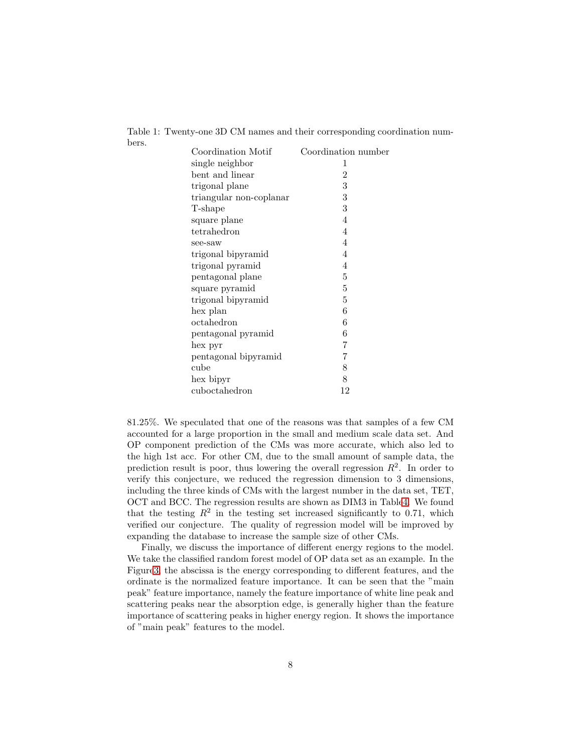<span id="page-7-0"></span>

| Coordination Motif      | Coordination number |
|-------------------------|---------------------|
| single neighbor         | 1                   |
| bent and linear         | $\overline{2}$      |
| trigonal plane          | 3                   |
| triangular non-coplanar | 3                   |
| T-shape                 | 3                   |
| square plane            | 4                   |
| tetrahedron             | 4                   |
| see-saw                 | 4                   |
| trigonal bipyramid      | 4                   |
| trigonal pyramid        | 4                   |
| pentagonal plane        | 5                   |
| square pyramid          | 5                   |
| trigonal bipyramid      | 5                   |
| hex plan                | 6                   |
| octahedron              | 6                   |
| pentagonal pyramid      | 6                   |
| hex pyr                 | 7                   |
| pentagonal bipyramid    | 7                   |
| cube                    | 8                   |
| hex bipyr               | 8                   |
| cuboctahedron           | 12                  |

Table 1: Twenty-one 3D CM names and their corresponding coordination numbers.

81.25%. We speculated that one of the reasons was that samples of a few CM accounted for a large proportion in the small and medium scale data set. And OP component prediction of the CMs was more accurate, which also led to the high 1st acc. For other CM, due to the small amount of sample data, the prediction result is poor, thus lowering the overall regression  $R^2$ . In order to verify this conjecture, we reduced the regression dimension to 3 dimensions, including the three kinds of CMs with the largest number in the data set, TET, OCT and BCC. The regression results are shown as DIM3 in Tabl[e4.](#page-8-3) We found that the testing  $R^2$  in the testing set increased significantly to 0.71, which verified our conjecture. The quality of regression model will be improved by expanding the database to increase the sample size of other CMs.

Finally, we discuss the importance of different energy regions to the model. We take the classified random forest model of OP data set as an example. In the Figur[e3,](#page-9-0) the abscissa is the energy corresponding to different features, and the ordinate is the normalized feature importance. It can be seen that the "main peak" feature importance, namely the feature importance of white line peak and scattering peaks near the absorption edge, is generally higher than the feature importance of scattering peaks in higher energy region. It shows the importance of "main peak" features to the model.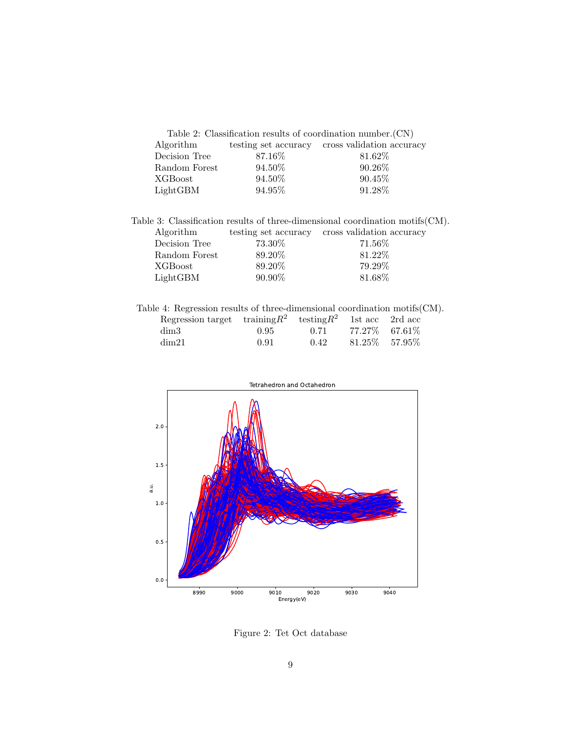<span id="page-8-0"></span>

| Table 2: Classification results of coordination number. $(CN)$ |         |                                                |  |  |  |  |  |  |
|----------------------------------------------------------------|---------|------------------------------------------------|--|--|--|--|--|--|
| Algorithm                                                      |         | testing set accuracy cross validation accuracy |  |  |  |  |  |  |
| Decision Tree                                                  | 87.16\% | 81.62\%                                        |  |  |  |  |  |  |
| Random Forest                                                  | 94.50%  | $90.26\%$                                      |  |  |  |  |  |  |
| XGBoost                                                        | 94.50%  | 90.45%                                         |  |  |  |  |  |  |
| LightGBM                                                       | 94.95%  | 91.28%                                         |  |  |  |  |  |  |

Table 3: Classification results of three-dimensional coordination motifs(CM).

<span id="page-8-2"></span>

| Algorithm     | testing set accuracy | cross validation accuracy |
|---------------|----------------------|---------------------------|
| Decision Tree | 73.30%               | 71.56%                    |
| Random Forest | 89.20%               | 81.22%                    |
| XGBoost       | 89.20%               | 79.29%                    |
| LightGBM      | $90.90\%$            | 81.68%                    |
|               |                      |                           |

<span id="page-8-3"></span>

| Table 4: Regression results of three-dimensional coordination motifs $(CM)$ . |      |      |                   |  |
|-------------------------------------------------------------------------------|------|------|-------------------|--|
| Regression target $\text{training } R^2$ testing $R^2$ 1st acc 2rd acc        |      |      |                   |  |
| dim3                                                                          | 0.95 | 0.71 | $77.27\%$ 67.61\% |  |
| dim21                                                                         | 0.91 | 0.42 | $81.25\%$ 57.95\% |  |



<span id="page-8-1"></span>Figure 2: Tet Oct database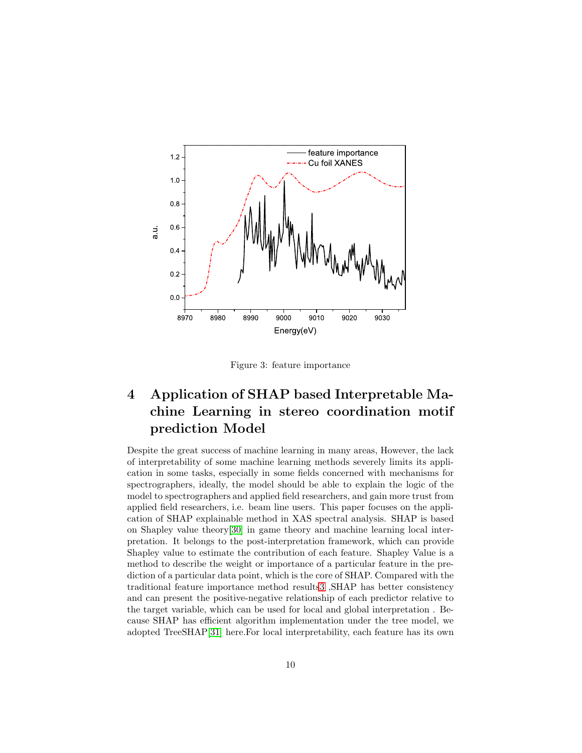

<span id="page-9-0"></span>Figure 3: feature importance

# 4 Application of SHAP based Interpretable Machine Learning in stereo coordination motif prediction Model

Despite the great success of machine learning in many areas, However, the lack of interpretability of some machine learning methods severely limits its application in some tasks, especially in some fields concerned with mechanisms for spectrographers, ideally, the model should be able to explain the logic of the model to spectrographers and applied field researchers, and gain more trust from applied field researchers, i.e. beam line users. This paper focuses on the application of SHAP explainable method in XAS spectral analysis. SHAP is based on Shapley value theory[\[30\]](#page-17-9) in game theory and machine learning local interpretation. It belongs to the post-interpretation framework, which can provide Shapley value to estimate the contribution of each feature. Shapley Value is a method to describe the weight or importance of a particular feature in the prediction of a particular data point, which is the core of SHAP. Compared with the traditional feature importance method result[s3](#page-9-0) ,SHAP has better consistency and can present the positive-negative relationship of each predictor relative to the target variable, which can be used for local and global interpretation . Because SHAP has efficient algorithm implementation under the tree model, we adopted TreeSHAP[\[31\]](#page-17-10) here.For local interpretability, each feature has its own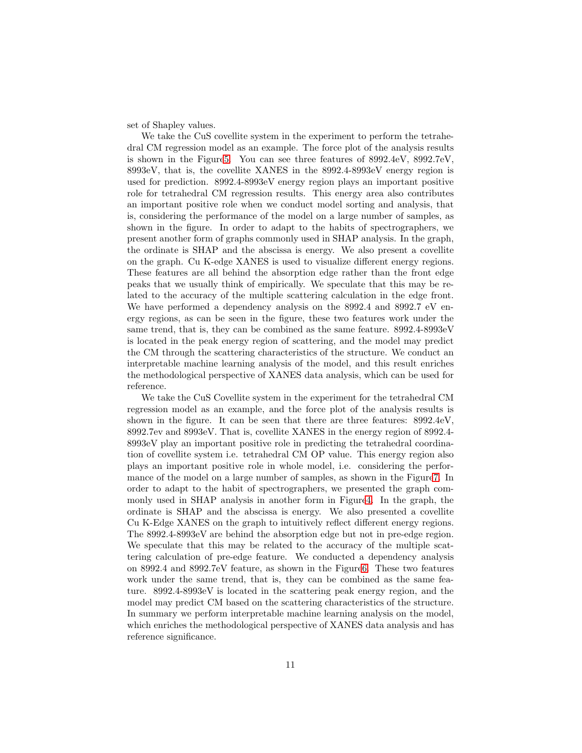set of Shapley values.

We take the CuS covellite system in the experiment to perform the tetrahedral CM regression model as an example. The force plot of the analysis results is shown in the Figur[e5.](#page-11-0) You can see three features of 8992.4eV, 8992.7eV, 8993eV, that is, the covellite XANES in the 8992.4-8993eV energy region is used for prediction. 8992.4-8993eV energy region plays an important positive role for tetrahedral CM regression results. This energy area also contributes an important positive role when we conduct model sorting and analysis, that is, considering the performance of the model on a large number of samples, as shown in the figure. In order to adapt to the habits of spectrographers, we present another form of graphs commonly used in SHAP analysis. In the graph, the ordinate is SHAP and the abscissa is energy. We also present a covellite on the graph. Cu K-edge XANES is used to visualize different energy regions. These features are all behind the absorption edge rather than the front edge peaks that we usually think of empirically. We speculate that this may be related to the accuracy of the multiple scattering calculation in the edge front. We have performed a dependency analysis on the 8992.4 and 8992.7 eV energy regions, as can be seen in the figure, these two features work under the same trend, that is, they can be combined as the same feature. 8992.4-8993eV is located in the peak energy region of scattering, and the model may predict the CM through the scattering characteristics of the structure. We conduct an interpretable machine learning analysis of the model, and this result enriches the methodological perspective of XANES data analysis, which can be used for reference.

We take the CuS Covellite system in the experiment for the tetrahedral CM regression model as an example, and the force plot of the analysis results is shown in the figure. It can be seen that there are three features: 8992.4eV, 8992.7ev and 8993eV. That is, covellite XANES in the energy region of 8992.4- 8993eV play an important positive role in predicting the tetrahedral coordination of covellite system i.e. tetrahedral CM OP value. This energy region also plays an important positive role in whole model, i.e. considering the performance of the model on a large number of samples, as shown in the Figur[e7.](#page-12-0) In order to adapt to the habit of spectrographers, we presented the graph commonly used in SHAP analysis in another form in Figur[e4.](#page-11-1) In the graph, the ordinate is SHAP and the abscissa is energy. We also presented a covellite Cu K-Edge XANES on the graph to intuitively reflect different energy regions. The 8992.4-8993eV are behind the absorption edge but not in pre-edge region. We speculate that this may be related to the accuracy of the multiple scattering calculation of pre-edge feature. We conducted a dependency analysis on 8992.4 and 8992.7eV feature, as shown in the Figur[e6.](#page-11-2) These two features work under the same trend, that is, they can be combined as the same feature. 8992.4-8993eV is located in the scattering peak energy region, and the model may predict CM based on the scattering characteristics of the structure. In summary we perform interpretable machine learning analysis on the model, which enriches the methodological perspective of XANES data analysis and has reference significance.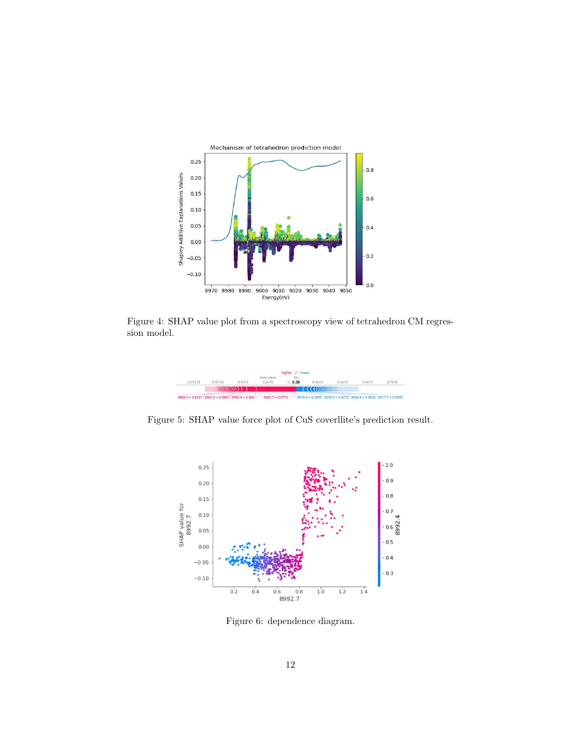

Figure 4: SHAP value plot from a spectroscopy view of tetrahedron CM regression model.

<span id="page-11-1"></span>

Figure 5: SHAP value force plot of CuS coverllite's prediction result.

<span id="page-11-0"></span>

<span id="page-11-2"></span>Figure 6: dependence diagram.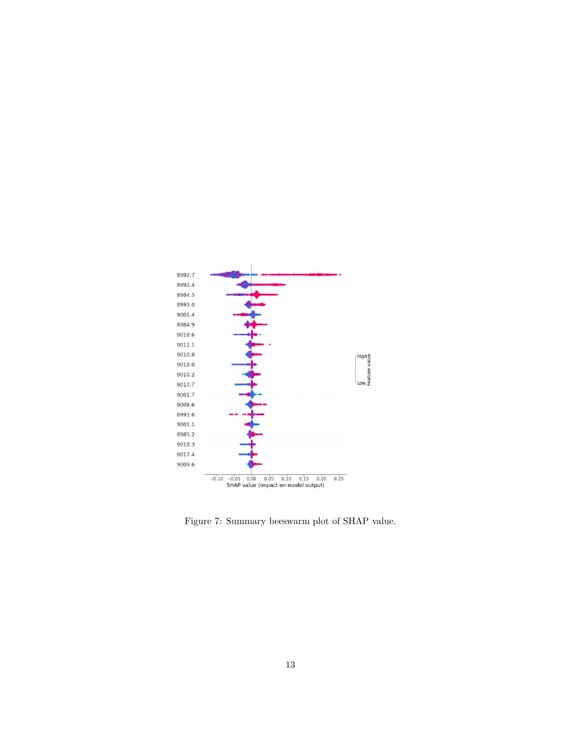

<span id="page-12-0"></span>Figure 7: Summary beeswarm plot of SHAP value.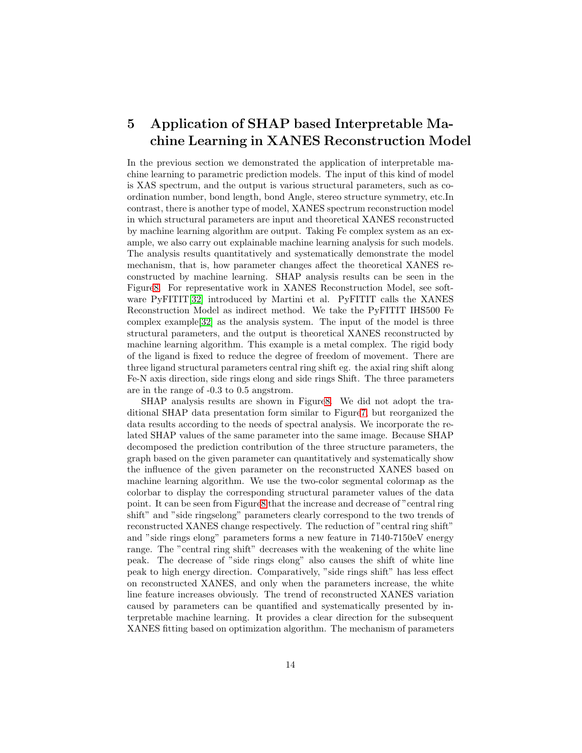## 5 Application of SHAP based Interpretable Machine Learning in XANES Reconstruction Model

In the previous section we demonstrated the application of interpretable machine learning to parametric prediction models. The input of this kind of model is XAS spectrum, and the output is various structural parameters, such as coordination number, bond length, bond Angle, stereo structure symmetry, etc.In contrast, there is another type of model, XANES spectrum reconstruction model in which structural parameters are input and theoretical XANES reconstructed by machine learning algorithm are output. Taking Fe complex system as an example, we also carry out explainable machine learning analysis for such models. The analysis results quantitatively and systematically demonstrate the model mechanism, that is, how parameter changes affect the theoretical XANES reconstructed by machine learning. SHAP analysis results can be seen in the Figur[e8.](#page-14-0) For representative work in XANES Reconstruction Model, see soft-ware PyFITIT[\[32\]](#page-17-11) introduced by Martini et al. PyFITIT calls the XANES Reconstruction Model as indirect method. We take the PyFITIT IHS500 Fe complex example[\[32\]](#page-17-11) as the analysis system. The input of the model is three structural parameters, and the output is theoretical XANES reconstructed by machine learning algorithm. This example is a metal complex. The rigid body of the ligand is fixed to reduce the degree of freedom of movement. There are three ligand structural parameters central ring shift eg. the axial ring shift along Fe-N axis direction, side rings elong and side rings Shift. The three parameters are in the range of -0.3 to 0.5 angstrom.

SHAP analysis results are shown in Figur[e8.](#page-14-0) We did not adopt the traditional SHAP data presentation form similar to Figur[e7,](#page-12-0) but reorganized the data results according to the needs of spectral analysis. We incorporate the related SHAP values of the same parameter into the same image. Because SHAP decomposed the prediction contribution of the three structure parameters, the graph based on the given parameter can quantitatively and systematically show the influence of the given parameter on the reconstructed XANES based on machine learning algorithm. We use the two-color segmental colormap as the colorbar to display the corresponding structural parameter values of the data point. It can be seen from Figur[e8](#page-14-0) that the increase and decrease of "central ring shift" and "side ringselong" parameters clearly correspond to the two trends of reconstructed XANES change respectively. The reduction of "central ring shift" and "side rings elong" parameters forms a new feature in 7140-7150eV energy range. The "central ring shift" decreases with the weakening of the white line peak. The decrease of "side rings elong" also causes the shift of white line peak to high energy direction. Comparatively, "side rings shift" has less effect on reconstructed XANES, and only when the parameters increase, the white line feature increases obviously. The trend of reconstructed XANES variation caused by parameters can be quantified and systematically presented by interpretable machine learning. It provides a clear direction for the subsequent XANES fitting based on optimization algorithm. The mechanism of parameters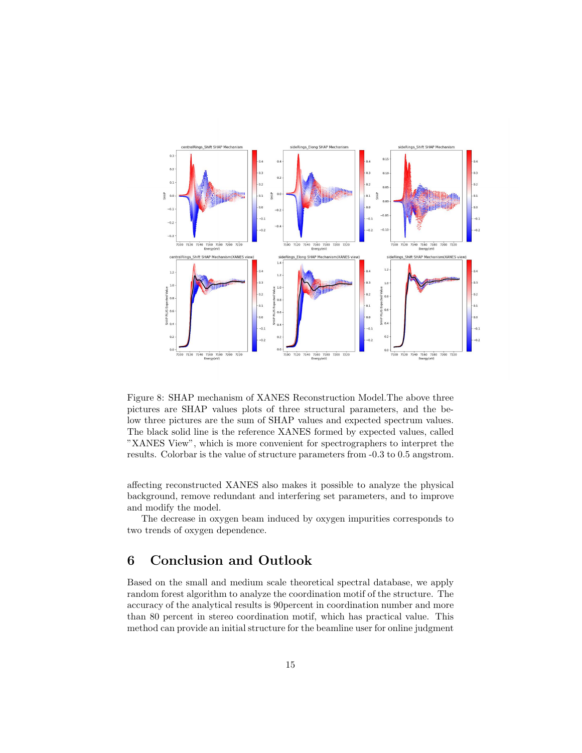

<span id="page-14-0"></span>Figure 8: SHAP mechanism of XANES Reconstruction Model.The above three pictures are SHAP values plots of three structural parameters, and the below three pictures are the sum of SHAP values and expected spectrum values. The black solid line is the reference XANES formed by expected values, called "XANES View", which is more convenient for spectrographers to interpret the results. Colorbar is the value of structure parameters from -0.3 to 0.5 angstrom.

affecting reconstructed XANES also makes it possible to analyze the physical background, remove redundant and interfering set parameters, and to improve and modify the model.

The decrease in oxygen beam induced by oxygen impurities corresponds to two trends of oxygen dependence.

### 6 Conclusion and Outlook

Based on the small and medium scale theoretical spectral database, we apply random forest algorithm to analyze the coordination motif of the structure. The accuracy of the analytical results is 90percent in coordination number and more than 80 percent in stereo coordination motif, which has practical value. This method can provide an initial structure for the beamline user for online judgment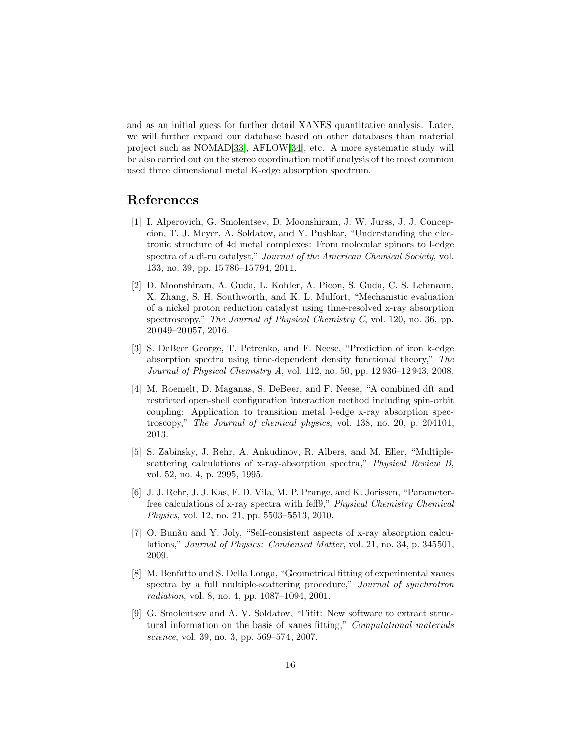and as an initial guess for further detail XANES quantitative analysis. Later, we will further expand our database based on other databases than material project such as NOMAD[\[33\]](#page-18-0), AFLOW[\[34\]](#page-18-1), etc. A more systematic study will be also carried out on the stereo coordination motif analysis of the most common used three dimensional metal K-edge absorption spectrum.

#### <span id="page-15-0"></span>References

- [1] I. Alperovich, G. Smolentsev, D. Moonshiram, J. W. Jurss, J. J. Concepcion, T. J. Meyer, A. Soldatov, and Y. Pushkar, "Understanding the electronic structure of 4d metal complexes: From molecular spinors to l-edge spectra of a di-ru catalyst," *Journal of the American Chemical Society*, vol. 133, no. 39, pp. 15 786–15 794, 2011.
- <span id="page-15-1"></span>[2] D. Moonshiram, A. Guda, L. Kohler, A. Picon, S. Guda, C. S. Lehmann, X. Zhang, S. H. Southworth, and K. L. Mulfort, "Mechanistic evaluation of a nickel proton reduction catalyst using time-resolved x-ray absorption spectroscopy," *The Journal of Physical Chemistry C*, vol. 120, no. 36, pp. 20 049–20 057, 2016.
- <span id="page-15-2"></span>[3] S. DeBeer George, T. Petrenko, and F. Neese, "Prediction of iron k-edge absorption spectra using time-dependent density functional theory," *The Journal of Physical Chemistry A*, vol. 112, no. 50, pp. 12 936–12 943, 2008.
- <span id="page-15-3"></span>[4] M. Roemelt, D. Maganas, S. DeBeer, and F. Neese, "A combined dft and restricted open-shell configuration interaction method including spin-orbit coupling: Application to transition metal l-edge x-ray absorption spectroscopy," *The Journal of chemical physics*, vol. 138, no. 20, p. 204101, 2013.
- <span id="page-15-4"></span>[5] S. Zabinsky, J. Rehr, A. Ankudinov, R. Albers, and M. Eller, "Multiplescattering calculations of x-ray-absorption spectra," *Physical Review B*, vol. 52, no. 4, p. 2995, 1995.
- <span id="page-15-5"></span>[6] J. J. Rehr, J. J. Kas, F. D. Vila, M. P. Prange, and K. Jorissen, "Parameterfree calculations of x-ray spectra with feff9," *Physical Chemistry Chemical Physics*, vol. 12, no. 21, pp. 5503–5513, 2010.
- <span id="page-15-6"></span>[7] O. Bunău and Y. Joly, "Self-consistent aspects of x-ray absorption calculations," *Journal of Physics: Condensed Matter*, vol. 21, no. 34, p. 345501, 2009.
- <span id="page-15-7"></span>[8] M. Benfatto and S. Della Longa, "Geometrical fitting of experimental xanes spectra by a full multiple-scattering procedure," *Journal of synchrotron radiation*, vol. 8, no. 4, pp. 1087–1094, 2001.
- <span id="page-15-8"></span>[9] G. Smolentsev and A. V. Soldatov, "Fitit: New software to extract structural information on the basis of xanes fitting," *Computational materials science*, vol. 39, no. 3, pp. 569–574, 2007.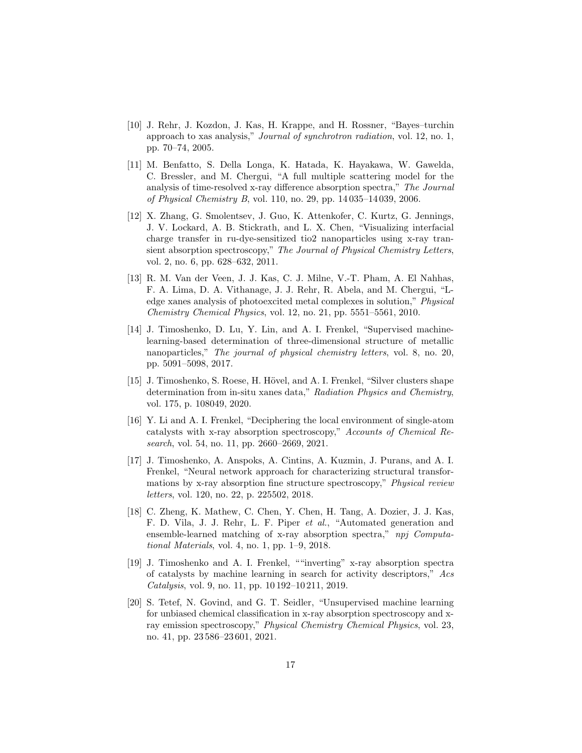- <span id="page-16-0"></span>[10] J. Rehr, J. Kozdon, J. Kas, H. Krappe, and H. Rossner, "Bayes–turchin approach to xas analysis," *Journal of synchrotron radiation*, vol. 12, no. 1, pp. 70–74, 2005.
- <span id="page-16-1"></span>[11] M. Benfatto, S. Della Longa, K. Hatada, K. Hayakawa, W. Gawelda, C. Bressler, and M. Chergui, "A full multiple scattering model for the analysis of time-resolved x-ray difference absorption spectra," *The Journal of Physical Chemistry B*, vol. 110, no. 29, pp. 14 035–14 039, 2006.
- <span id="page-16-2"></span>[12] X. Zhang, G. Smolentsev, J. Guo, K. Attenkofer, C. Kurtz, G. Jennings, J. V. Lockard, A. B. Stickrath, and L. X. Chen, "Visualizing interfacial charge transfer in ru-dye-sensitized tio2 nanoparticles using x-ray transient absorption spectroscopy," *The Journal of Physical Chemistry Letters*, vol. 2, no. 6, pp. 628–632, 2011.
- <span id="page-16-3"></span>[13] R. M. Van der Veen, J. J. Kas, C. J. Milne, V.-T. Pham, A. El Nahhas, F. A. Lima, D. A. Vithanage, J. J. Rehr, R. Abela, and M. Chergui, "Ledge xanes analysis of photoexcited metal complexes in solution," *Physical Chemistry Chemical Physics*, vol. 12, no. 21, pp. 5551–5561, 2010.
- <span id="page-16-4"></span>[14] J. Timoshenko, D. Lu, Y. Lin, and A. I. Frenkel, "Supervised machinelearning-based determination of three-dimensional structure of metallic nanoparticles," *The journal of physical chemistry letters*, vol. 8, no. 20, pp. 5091–5098, 2017.
- <span id="page-16-5"></span>[15] J. Timoshenko, S. Roese, H. Hövel, and A. I. Frenkel, "Silver clusters shape determination from in-situ xanes data," *Radiation Physics and Chemistry*, vol. 175, p. 108049, 2020.
- <span id="page-16-6"></span>[16] Y. Li and A. I. Frenkel, "Deciphering the local environment of single-atom catalysts with x-ray absorption spectroscopy," *Accounts of Chemical Research*, vol. 54, no. 11, pp. 2660–2669, 2021.
- <span id="page-16-7"></span>[17] J. Timoshenko, A. Anspoks, A. Cintins, A. Kuzmin, J. Purans, and A. I. Frenkel, "Neural network approach for characterizing structural transformations by x-ray absorption fine structure spectroscopy," *Physical review letters*, vol. 120, no. 22, p. 225502, 2018.
- <span id="page-16-8"></span>[18] C. Zheng, K. Mathew, C. Chen, Y. Chen, H. Tang, A. Dozier, J. J. Kas, F. D. Vila, J. J. Rehr, L. F. Piper *et al.*, "Automated generation and ensemble-learned matching of x-ray absorption spectra," *npj Computational Materials*, vol. 4, no. 1, pp. 1–9, 2018.
- <span id="page-16-9"></span>[19] J. Timoshenko and A. I. Frenkel, ""inverting" x-ray absorption spectra of catalysts by machine learning in search for activity descriptors," *Acs Catalysis*, vol. 9, no. 11, pp. 10 192–10 211, 2019.
- <span id="page-16-10"></span>[20] S. Tetef, N. Govind, and G. T. Seidler, "Unsupervised machine learning for unbiased chemical classification in x-ray absorption spectroscopy and xray emission spectroscopy," *Physical Chemistry Chemical Physics*, vol. 23, no. 41, pp. 23 586–23 601, 2021.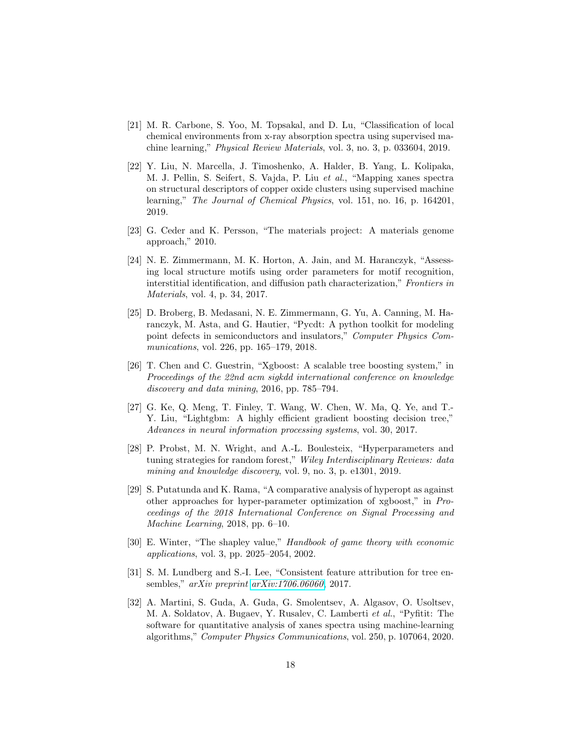- <span id="page-17-0"></span>[21] M. R. Carbone, S. Yoo, M. Topsakal, and D. Lu, "Classification of local chemical environments from x-ray absorption spectra using supervised machine learning," *Physical Review Materials*, vol. 3, no. 3, p. 033604, 2019.
- <span id="page-17-1"></span>[22] Y. Liu, N. Marcella, J. Timoshenko, A. Halder, B. Yang, L. Kolipaka, M. J. Pellin, S. Seifert, S. Vajda, P. Liu *et al.*, "Mapping xanes spectra on structural descriptors of copper oxide clusters using supervised machine learning," *The Journal of Chemical Physics*, vol. 151, no. 16, p. 164201, 2019.
- <span id="page-17-3"></span><span id="page-17-2"></span>[23] G. Ceder and K. Persson, "The materials project: A materials genome approach," 2010.
- [24] N. E. Zimmermann, M. K. Horton, A. Jain, and M. Haranczyk, "Assessing local structure motifs using order parameters for motif recognition, interstitial identification, and diffusion path characterization," *Frontiers in Materials*, vol. 4, p. 34, 2017.
- <span id="page-17-4"></span>[25] D. Broberg, B. Medasani, N. E. Zimmermann, G. Yu, A. Canning, M. Haranczyk, M. Asta, and G. Hautier, "Pycdt: A python toolkit for modeling point defects in semiconductors and insulators," *Computer Physics Communications*, vol. 226, pp. 165–179, 2018.
- <span id="page-17-5"></span>[26] T. Chen and C. Guestrin, "Xgboost: A scalable tree boosting system," in *Proceedings of the 22nd acm sigkdd international conference on knowledge discovery and data mining*, 2016, pp. 785–794.
- <span id="page-17-6"></span>[27] G. Ke, Q. Meng, T. Finley, T. Wang, W. Chen, W. Ma, Q. Ye, and T.- Y. Liu, "Lightgbm: A highly efficient gradient boosting decision tree," *Advances in neural information processing systems*, vol. 30, 2017.
- <span id="page-17-7"></span>[28] P. Probst, M. N. Wright, and A.-L. Boulesteix, "Hyperparameters and tuning strategies for random forest," *Wiley Interdisciplinary Reviews: data mining and knowledge discovery*, vol. 9, no. 3, p. e1301, 2019.
- <span id="page-17-8"></span>[29] S. Putatunda and K. Rama, "A comparative analysis of hyperopt as against other approaches for hyper-parameter optimization of xgboost," in *Proceedings of the 2018 International Conference on Signal Processing and Machine Learning*, 2018, pp. 6–10.
- <span id="page-17-9"></span>[30] E. Winter, "The shapley value," *Handbook of game theory with economic applications*, vol. 3, pp. 2025–2054, 2002.
- <span id="page-17-10"></span>[31] S. M. Lundberg and S.-I. Lee, "Consistent feature attribution for tree ensembles," *arXiv preprint [arXiv:1706.06060](http://arxiv.org/abs/1706.06060)*, 2017.
- <span id="page-17-11"></span>[32] A. Martini, S. Guda, A. Guda, G. Smolentsev, A. Algasov, O. Usoltsev, M. A. Soldatov, A. Bugaev, Y. Rusalev, C. Lamberti *et al.*, "Pyfitit: The software for quantitative analysis of xanes spectra using machine-learning algorithms," *Computer Physics Communications*, vol. 250, p. 107064, 2020.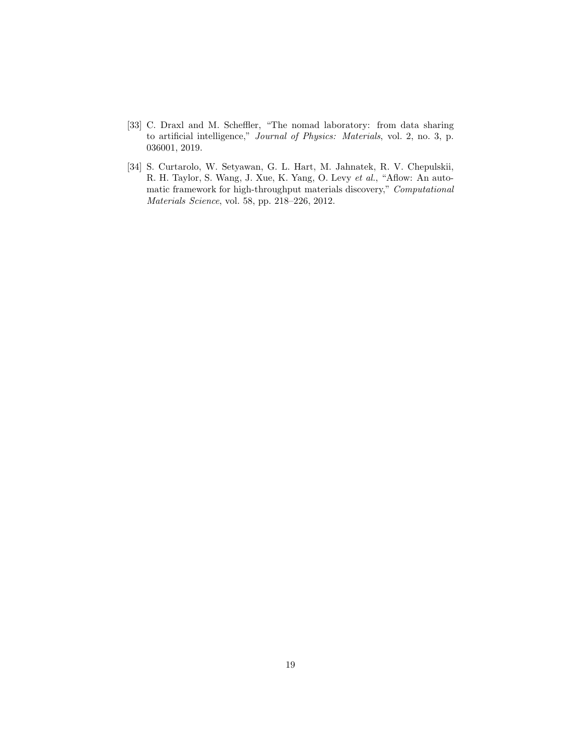- <span id="page-18-0"></span>[33] C. Draxl and M. Scheffler, "The nomad laboratory: from data sharing to artificial intelligence," *Journal of Physics: Materials*, vol. 2, no. 3, p. 036001, 2019.
- <span id="page-18-1"></span>[34] S. Curtarolo, W. Setyawan, G. L. Hart, M. Jahnatek, R. V. Chepulskii, R. H. Taylor, S. Wang, J. Xue, K. Yang, O. Levy *et al.*, "Aflow: An automatic framework for high-throughput materials discovery," *Computational Materials Science*, vol. 58, pp. 218–226, 2012.